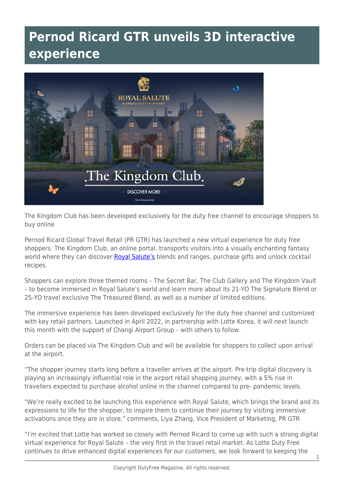## **Pernod Ricard GTR unveils 3D interactive experience**



The Kingdom Club has been developed exclusively for the duty free channel to encourage shoppers to buy online

Pernod Ricard Global Travel Retail (PR GTR) has launched a new virtual experience for duty free shoppers. The Kingdom Club, an online portal, transports visitors into a visually enchanting fantasy world where they can discover [Royal Salute's](https://www.royalsalute.com/en/) blends and ranges, purchase gifts and unlock cocktail recipes.

Shoppers can explore three themed rooms – The Secret Bar, The Club Gallery and The Kingdom Vault – to become immersed in Royal Salute's world and learn more about its 21-YO The Signature Blend or 25-YO travel exclusive The Treasured Blend, as well as a number of limited editions.

The immersive experience has been developed exclusively for the duty free channel and customized with key retail partners. Launched in April 2022, in partnership with Lotte Korea, it will next launch this month with the support of Changi Airport Group – with others to follow.

Orders can be placed via The Kingdom Club and will be available for shoppers to collect upon arrival at the airport.

"The shopper journey starts long before a traveller arrives at the airport. Pre-trip digital discovery is playing an increasingly influential role in the airport retail shopping journey, with a 5% rise in travellers expected to purchase alcohol online in the channel compared to pre- pandemic levels.

"We're really excited to be launching this experience with Royal Salute, which brings the brand and its expressions to life for the shopper, to inspire them to continue their journey by visiting immersive activations once they are in store," comments, Liya Zhang, Vice President of Marketing, PR GTR

"I'm excited that Lotte has worked so closely with Pernod Ricard to come up with such a strong digital virtual experience for Royal Salute – the very first in the travel retail market. As Lotte Duty Free continues to drive enhanced digital experiences for our customers, we look forward to keeping the